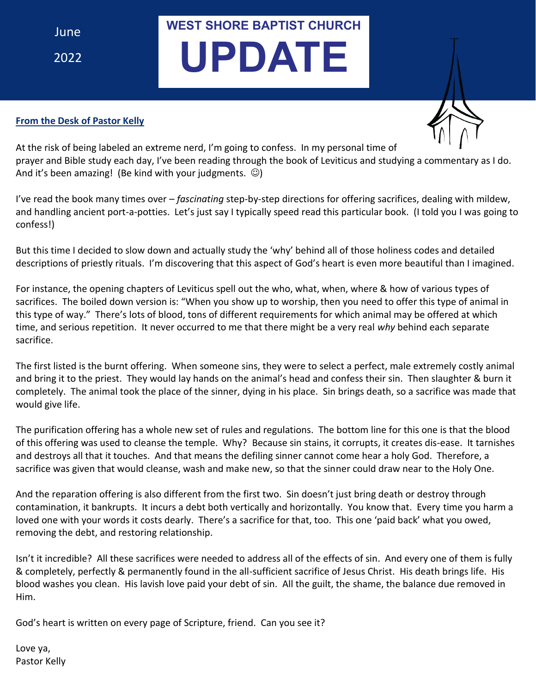June 2022 **WEST SHORE BAPTIST CHURCH**

# **UPDATE**

#### **From the Desk of Pastor Kelly**



At the risk of being labeled an extreme nerd, I'm going to confess. In my personal time of prayer and Bible study each day, I've been reading through the book of Leviticus and studying a commentary as I do. And it's been amazing! (Be kind with your judgments.  $\circledcirc$ )

I've read the book many times over – *fascinating* step-by-step directions for offering sacrifices, dealing with mildew, and handling ancient port-a-potties. Let's just say I typically speed read this particular book. (I told you I was going to confess!)

But this time I decided to slow down and actually study the 'why' behind all of those holiness codes and detailed descriptions of priestly rituals. I'm discovering that this aspect of God's heart is even more beautiful than I imagined.

For instance, the opening chapters of Leviticus spell out the who, what, when, where & how of various types of sacrifices. The boiled down version is: "When you show up to worship, then you need to offer this type of animal in this type of way." There's lots of blood, tons of different requirements for which animal may be offered at which time, and serious repetition. It never occurred to me that there might be a very real *why* behind each separate sacrifice.

The first listed is the burnt offering. When someone sins, they were to select a perfect, male extremely costly animal and bring it to the priest. They would lay hands on the animal's head and confess their sin. Then slaughter & burn it completely. The animal took the place of the sinner, dying in his place. Sin brings death, so a sacrifice was made that would give life.

The purification offering has a whole new set of rules and regulations. The bottom line for this one is that the blood of this offering was used to cleanse the temple. Why? Because sin stains, it corrupts, it creates dis-ease. It tarnishes and destroys all that it touches. And that means the defiling sinner cannot come hear a holy God. Therefore, a sacrifice was given that would cleanse, wash and make new, so that the sinner could draw near to the Holy One.

And the reparation offering is also different from the first two. Sin doesn't just bring death or destroy through contamination, it bankrupts. It incurs a debt both vertically and horizontally. You know that. Every time you harm a loved one with your words it costs dearly. There's a sacrifice for that, too. This one 'paid back' what you owed, removing the debt, and restoring relationship.

Isn't it incredible? All these sacrifices were needed to address all of the effects of sin. And every one of them is fully & completely, perfectly & permanently found in the all-sufficient sacrifice of Jesus Christ. His death brings life. His blood washes you clean. His lavish love paid your debt of sin. All the guilt, the shame, the balance due removed in Him.

God's heart is written on every page of Scripture, friend. Can you see it?

Love ya, Pastor Kelly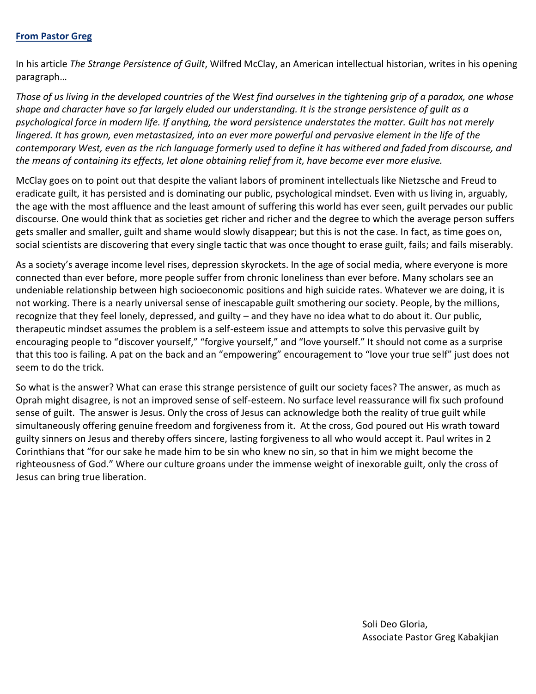#### **From Pastor Greg**

In his article *The Strange Persistence of Guilt*, Wilfred McClay, an American intellectual historian, writes in his opening paragraph…

*Those of us living in the developed countries of the West find ourselves in the tightening grip of a paradox, one whose shape and character have so far largely eluded our understanding. It is the strange persistence of guilt as a psychological force in modern life. If anything, the word persistence understates the matter. Guilt has not merely*  lingered. It has grown, even metastasized, into an ever more powerful and pervasive element in the life of the *contemporary West, even as the rich language formerly used to define it has withered and faded from discourse, and the means of containing its effects, let alone obtaining relief from it, have become ever more elusive.*

McClay goes on to point out that despite the valiant labors of prominent intellectuals like Nietzsche and Freud to eradicate guilt, it has persisted and is dominating our public, psychological mindset. Even with us living in, arguably, the age with the most affluence and the least amount of suffering this world has ever seen, guilt pervades our public discourse. One would think that as societies get richer and richer and the degree to which the average person suffers gets smaller and smaller, guilt and shame would slowly disappear; but this is not the case. In fact, as time goes on, social scientists are discovering that every single tactic that was once thought to erase guilt, fails; and fails miserably.

As a society's average income level rises, depression skyrockets. In the age of social media, where everyone is more connected than ever before, more people suffer from chronic loneliness than ever before. Many scholars see an undeniable relationship between high socioeconomic positions and high suicide rates. Whatever we are doing, it is not working. There is a nearly universal sense of inescapable guilt smothering our society. People, by the millions, recognize that they feel lonely, depressed, and guilty – and they have no idea what to do about it. Our public, therapeutic mindset assumes the problem is a self-esteem issue and attempts to solve this pervasive guilt by encouraging people to "discover yourself," "forgive yourself," and "love yourself." It should not come as a surprise that this too is failing. A pat on the back and an "empowering" encouragement to "love your true self" just does not seem to do the trick.

So what is the answer? What can erase this strange persistence of guilt our society faces? The answer, as much as Oprah might disagree, is not an improved sense of self-esteem. No surface level reassurance will fix such profound sense of guilt. The answer is Jesus. Only the cross of Jesus can acknowledge both the reality of true guilt while simultaneously offering genuine freedom and forgiveness from it. At the cross, God poured out His wrath toward guilty sinners on Jesus and thereby offers sincere, lasting forgiveness to all who would accept it. Paul writes in 2 Corinthians that "for our sake he made him to be sin who knew no sin, so that in him we might become the righteousness of God." Where our culture groans under the immense weight of inexorable guilt, only the cross of Jesus can bring true liberation.

> Soli Deo Gloria, Associate Pastor Greg Kabakjian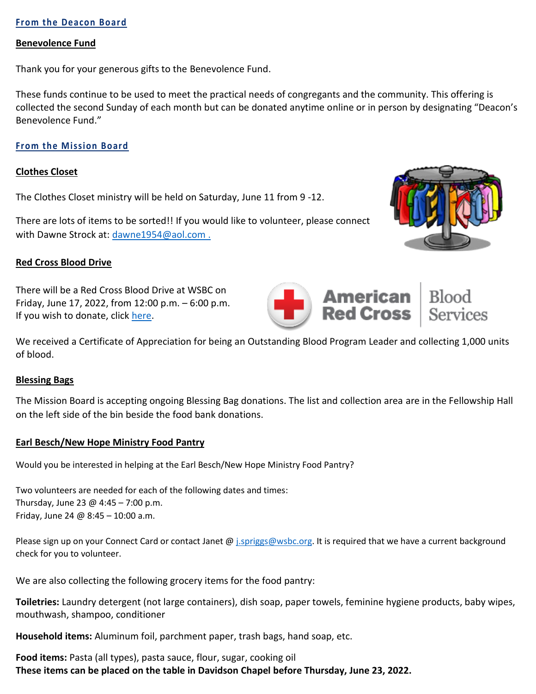#### **From the Deacon Board**

#### **Benevolence Fund**

Thank you for your generous gifts to the Benevolence Fund.

These funds continue to be used to meet the practical needs of congregants and the community. This offering is collected the second Sunday of each month but can be donated anytime online or in person by designating "Deacon's Benevolence Fund."

#### **From the Mission Board**

#### **Clothes Closet**

The Clothes Closet ministry will be held on Saturday, June 11 from 9 -12.

There are lots of items to be sorted!! If you would like to volunteer, please connect with Dawne Strock at: [dawne1954@aol.com](mailto:dawne1954@aol.com).



There will be a Red Cross Blood Drive at WSBC on Friday, June 17, 2022, from 12:00 p.m. – 6:00 p.m. If you wish to donate, click [here.](https://www.redcrossblood.org/give.html/donation-time)

We received a Certificate of Appreciation for being an Outstanding Blood Program Leader and collecting 1,000 units of blood.

#### **Blessing Bags**

The Mission Board is accepting ongoing Blessing Bag donations. The list and collection area are in the Fellowship Hall on the left side of the bin beside the food bank donations.

#### **Earl Besch/New Hope Ministry Food Pantry**

Would you be interested in helping at the Earl Besch/New Hope Ministry Food Pantry?

Two volunteers are needed for each of the following dates and times: Thursday, June 23 @ 4:45 - 7:00 p.m. Friday, June 24 @ 8:45 – 10:00 a.m.

Please sign up on your Connect Card or contact Janet @ [j.spriggs@wsbc.org.](mailto:j.spriggs@wsbc.org) It is required that we have a current background check for you to volunteer.

We are also collecting the following grocery items for the food pantry:

**Toiletries:** Laundry detergent (not large containers), dish soap, paper towels, feminine hygiene products, baby wipes, mouthwash, shampoo, conditioner

**Household items:** Aluminum foil, parchment paper, trash bags, hand soap, etc.

**Food items:** Pasta (all types), pasta sauce, flour, sugar, cooking oil **These items can be placed on the table in Davidson Chapel before Thursday, June 23, 2022.**



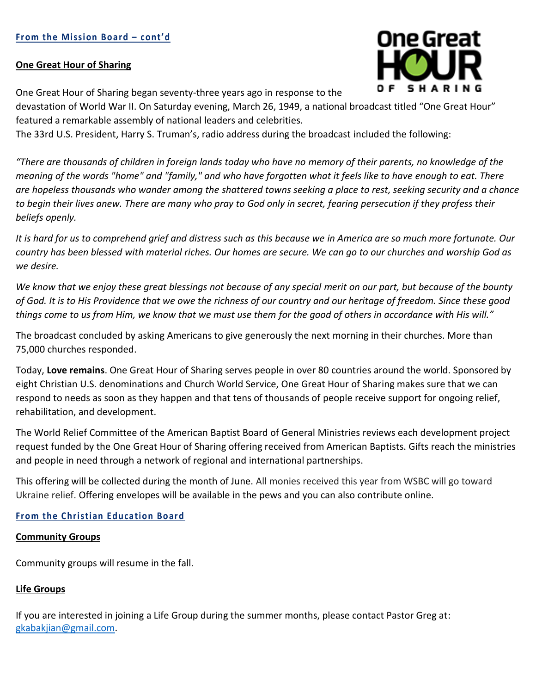#### **One Great Hour of Sharing**

One Great Hour of Sharing began seventy-three years ago in response to the

devastation of World War II. On Saturday evening, March 26, 1949, a national broadcast titled "One Great Hour" featured a remarkable assembly of national leaders and celebrities.

The 33rd U.S. President, Harry S. Truman's, radio address during the broadcast included the following:

*"There are thousands of children in foreign lands today who have no memory of their parents, no knowledge of the meaning of the words "home" and "family," and who have forgotten what it feels like to have enough to eat. There are hopeless thousands who wander among the shattered towns seeking a place to rest, seeking security and a chance to begin their lives anew. There are many who pray to God only in secret, fearing persecution if they profess their beliefs openly.*

*It is hard for us to comprehend grief and distress such as this because we in America are so much more fortunate. Our country has been blessed with material riches. Our homes are secure. We can go to our churches and worship God as we desire.*

*We know that we enjoy these great blessings not because of any special merit on our part, but because of the bounty of God. It is to His Providence that we owe the richness of our country and our heritage of freedom. Since these good things come to us from Him, we know that we must use them for the good of others in accordance with His will."*

The broadcast concluded by asking Americans to give generously the next morning in their churches. More than 75,000 churches responded.

Today, **Love remains**. One Great Hour of Sharing serves people in over 80 countries around the world. Sponsored by eight Christian U.S. denominations and Church World Service, One Great Hour of Sharing makes sure that we can respond to needs as soon as they happen and that tens of thousands of people receive support for ongoing relief, rehabilitation, and development.

The World Relief Committee of the American Baptist Board of General Ministries reviews each development project request funded by the One Great Hour of Sharing offering received from American Baptists. Gifts reach the ministries and people in need through a network of regional and international partnerships.

This offering will be collected during the month of June. All monies received this year from WSBC will go toward Ukraine relief. Offering envelopes will be available in the pews and you can also contribute online.

#### **From the Christian Education Board**

#### **Community Groups**

Community groups will resume in the fall.

#### **Life Groups**

If you are interested in joining a Life Group during the summer months, please contact Pastor Greg at: [gkabakjian@gmail.com.](mailto:gkabakjian@gmail.com)

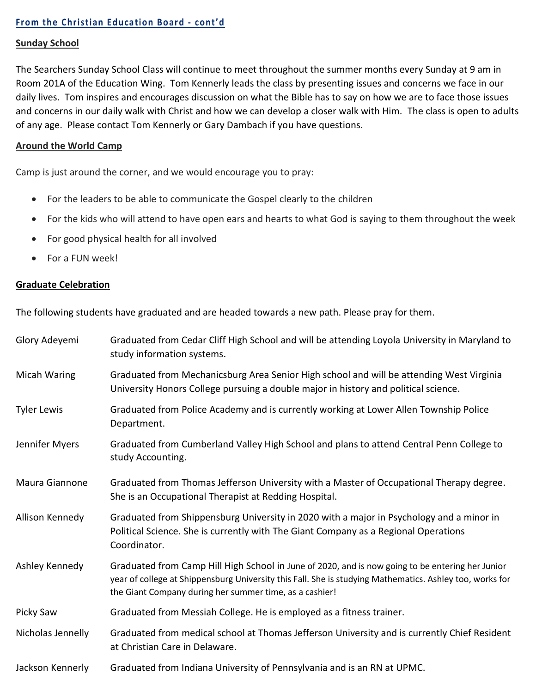#### **Sunday School**

The Searchers Sunday School Class will continue to meet throughout the summer months every Sunday at 9 am in Room 201A of the Education Wing. Tom Kennerly leads the class by presenting issues and concerns we face in our daily lives. Tom inspires and encourages discussion on what the Bible has to say on how we are to face those issues and concerns in our daily walk with Christ and how we can develop a closer walk with Him. The class is open to adults of any age. Please contact Tom Kennerly or Gary Dambach if you have questions.

#### **Around the World Camp**

Camp is just around the corner, and we would encourage you to pray:

- For the leaders to be able to communicate the Gospel clearly to the children
- For the kids who will attend to have open ears and hearts to what God is saying to them throughout the week
- For good physical health for all involved
- For a FUN week!

#### **Graduate Celebration**

The following students have graduated and are headed towards a new path. Please pray for them.

| Glory Adeyemi      | Graduated from Cedar Cliff High School and will be attending Loyola University in Maryland to<br>study information systems.                                                                                                                                             |  |  |
|--------------------|-------------------------------------------------------------------------------------------------------------------------------------------------------------------------------------------------------------------------------------------------------------------------|--|--|
| Micah Waring       | Graduated from Mechanicsburg Area Senior High school and will be attending West Virginia<br>University Honors College pursuing a double major in history and political science.                                                                                         |  |  |
| <b>Tyler Lewis</b> | Graduated from Police Academy and is currently working at Lower Allen Township Police<br>Department.                                                                                                                                                                    |  |  |
| Jennifer Myers     | Graduated from Cumberland Valley High School and plans to attend Central Penn College to<br>study Accounting.                                                                                                                                                           |  |  |
| Maura Giannone     | Graduated from Thomas Jefferson University with a Master of Occupational Therapy degree.<br>She is an Occupational Therapist at Redding Hospital.                                                                                                                       |  |  |
| Allison Kennedy    | Graduated from Shippensburg University in 2020 with a major in Psychology and a minor in<br>Political Science. She is currently with The Giant Company as a Regional Operations<br>Coordinator.                                                                         |  |  |
| Ashley Kennedy     | Graduated from Camp Hill High School in June of 2020, and is now going to be entering her Junior<br>year of college at Shippensburg University this Fall. She is studying Mathematics. Ashley too, works for<br>the Giant Company during her summer time, as a cashier! |  |  |
| Picky Saw          | Graduated from Messiah College. He is employed as a fitness trainer.                                                                                                                                                                                                    |  |  |
| Nicholas Jennelly  | Graduated from medical school at Thomas Jefferson University and is currently Chief Resident<br>at Christian Care in Delaware.                                                                                                                                          |  |  |
| Jackson Kennerly   | Graduated from Indiana University of Pennsylvania and is an RN at UPMC.                                                                                                                                                                                                 |  |  |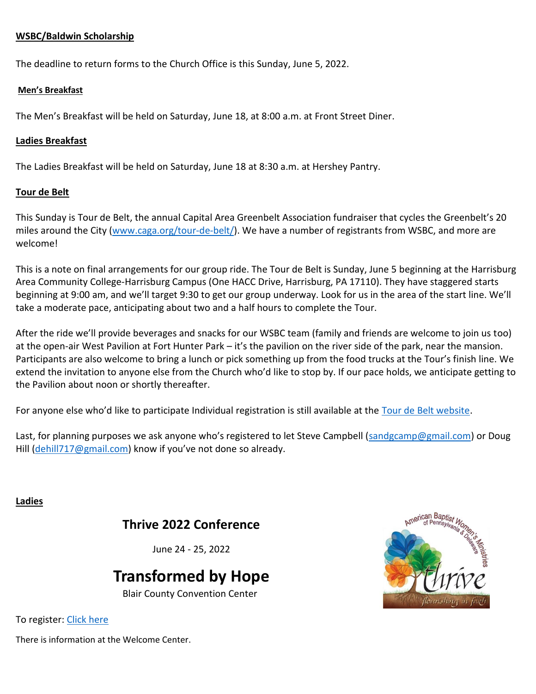#### **WSBC/Baldwin Scholarship**

The deadline to return forms to the Church Office is this Sunday, June 5, 2022.

#### **Men's Breakfast**

The Men's Breakfast will be held on Saturday, June 18, at 8:00 a.m. at Front Street Diner.

#### **Ladies Breakfast**

The Ladies Breakfast will be held on Saturday, June 18 at 8:30 a.m. at Hershey Pantry.

#### **Tour de Belt**

This Sunday is Tour de Belt, the annual Capital Area Greenbelt Association fundraiser that cycles the Greenbelt's 20 miles around the City [\(www.caga.org/tour-de-belt/\)](https://wsbc.us18.list-manage.com/track/click?u=2b1df3b16fdaa688a46c6bb38&id=de09e2b0e2&e=65d8e3bb0a). We have a number of registrants from WSBC, and more are welcome!

This is a note on final arrangements for our group ride. The Tour de Belt is Sunday, June 5 beginning at the Harrisburg Area Community College-Harrisburg Campus (One HACC Drive, Harrisburg, PA 17110). They have staggered starts beginning at 9:00 am, and we'll target 9:30 to get our group underway. Look for us in the area of the start line. We'll take a moderate pace, anticipating about two and a half hours to complete the Tour.

After the ride we'll provide beverages and snacks for our WSBC team (family and friends are welcome to join us too) at the open-air West Pavilion at Fort Hunter Park – it's the pavilion on the river side of the park, near the mansion. Participants are also welcome to bring a lunch or pick something up from the food trucks at the Tour's finish line. We extend the invitation to anyone else from the Church who'd like to stop by. If our pace holds, we anticipate getting to the Pavilion about noon or shortly thereafter.

For anyone else who'd like to participate Individual registration is still available at the [Tour de Belt website.](http://caga.org/tour-de-belt/)

Last, for planning purposes we ask anyone who's registered to let Steve Campbell ([sandgcamp@gmail.com\)](mailto:sandgcamp@gmail.com) or Doug Hill [\(dehill717@gmail.com](mailto:dehill717@gmail.com)) know if you've not done so already.

**Ladies**

### **Thrive 2022 Conference**

June 24 - 25, 2022

## **Transformed by Hope**

Blair County Convention Center



To register: [Click here](https://www.abcopad.org/Ministries/ABWM/2022-Thrive-Conference-Registration-Form.aspx)

There is information at the Welcome Center.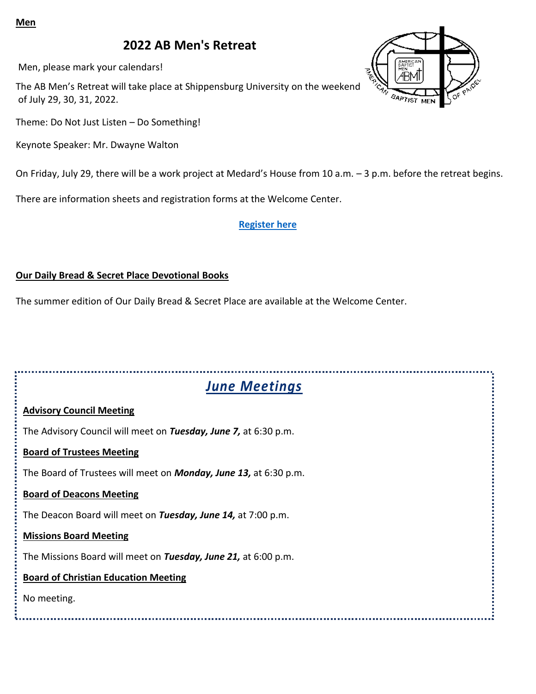#### **Men**

## **2022 AB Men's Retreat**

Men, please mark your calendars!

The AB Men's Retreat will take place at Shippensburg University on the weekend of July 29, 30, 31, 2022.

Theme: Do Not Just Listen – Do Something!

Keynote Speaker: Mr. Dwayne Walton

On Friday, July 29, there will be a work project at Medard's House from 10 a.m. – 3 p.m. before the retreat begins.

There are information sheets and registration forms at the Welcome Center.

#### **[Register here](https://docs.google.com/forms/d/e/1FAIpQLSfI_8mWPlJq44M6RbSqulGt-BTH_hMOJAY8SoeK5whtReWgdA/viewform)**

#### **Our Daily Bread & Secret Place Devotional Books**

The summer edition of Our Daily Bread & Secret Place are available at the Welcome Center.



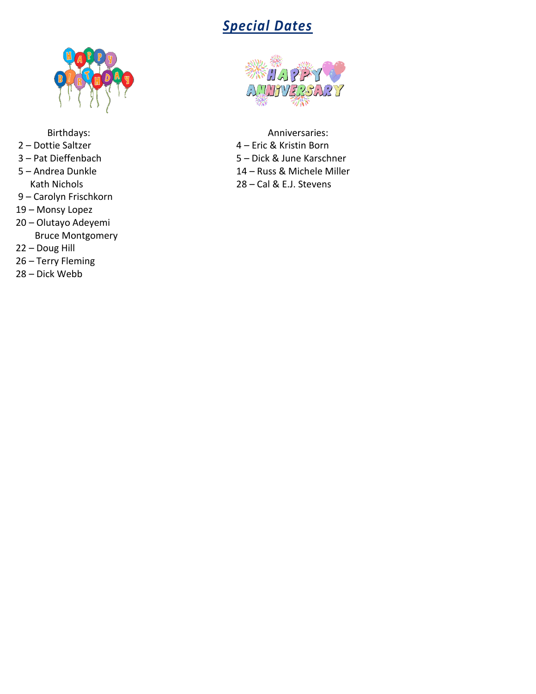# *Special Dates*



- 
- 
- 
- Carolyn Frischkorn
- Monsy Lopez
- Olutayo Adeyemi Bruce Montgomery
- Doug Hill
- Terry Fleming
- Dick Webb



Birthdays: Anniversaries: Anniversaries: – Dottie Saltzer 4 – Eric & Kristin Born – Pat Dieffenbach 5 – Dick & June Karschner 14 – Russ & Michele Miller Kath Nichols 28 – Cal & E.J. Stevens